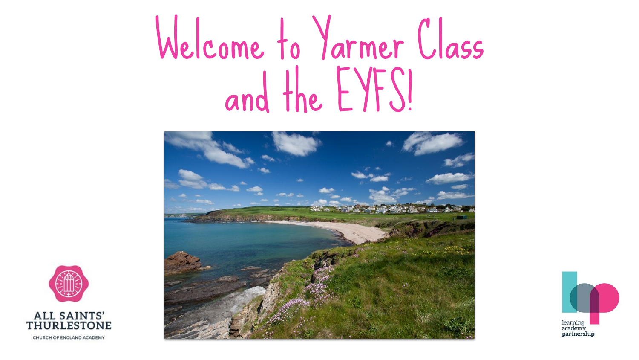## Welcome to Yarmer Class and the EYFS!





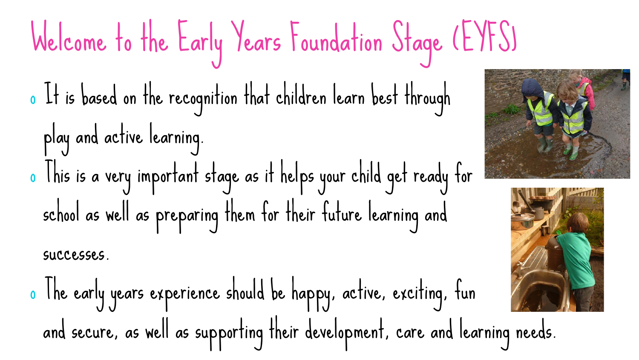## Welcome to the Early Years Foundation Stage (EYFS) o It is based on the recognition that children learn best through play and active learning. o This is a very important stage as it helps your child get ready for school as well as preparing them for their future learning and successes.

o The early years experience should be happy, active, exciting, fun and secure, as well as supporting their development, care and learning needs.



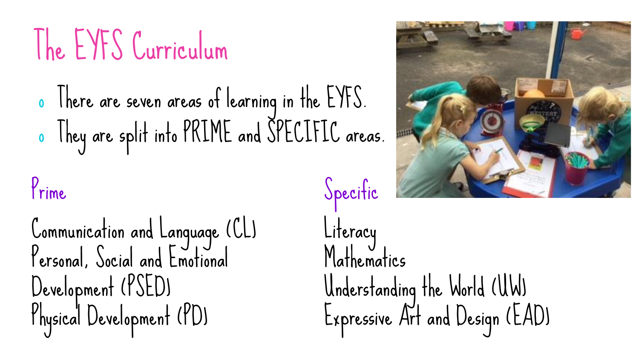### The EYFS Curriculum

o There are seven areas of learning in the EYFS. o They are split into PRIME and SPECIFIC areas.

#### Prime Specific

Communication and Language (CL) Personal, Social and Emotional Development (PSED) Physical Development (PD)



Literacy Mathematics Understanding the World (UW) Expressive Art and Design (EAD)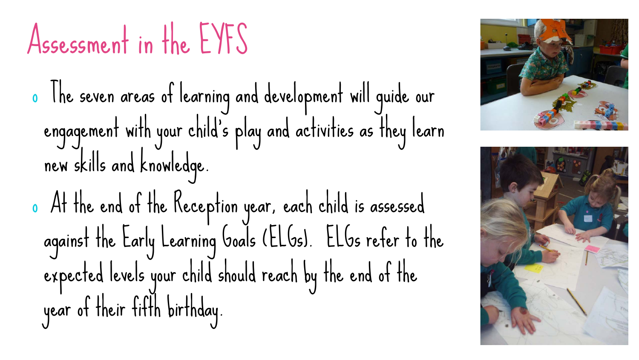#### Assessment in the EYFS

o The seven areas of learning and development will guide our engagement with your child's play and activities as they learn new skills and knowledge.

o At the end of the Reception year, each child is assessed against the Early Learning Goals (ELGs). ELGs refer to the expected levels your child should reach by the end of the year of their fifth birthday.



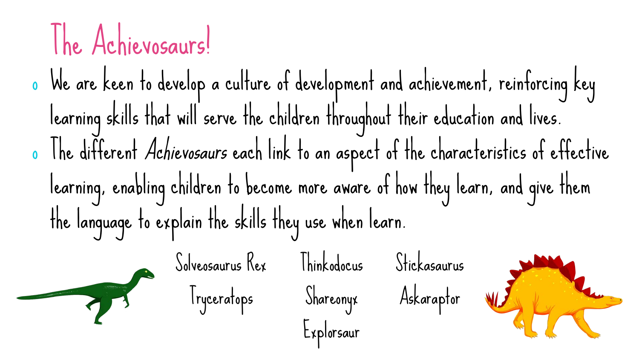## The Achievosaurs!

o We are keen to develop a culture of development and achievement, reinforcing key learning skills that will serve the children throughout their education and lives. o The different Achievosaurs each link to an aspect of the characteristics of effective learning, enabling children to become more aware of how they learn, and give them the language to explain the skills they use when learn.

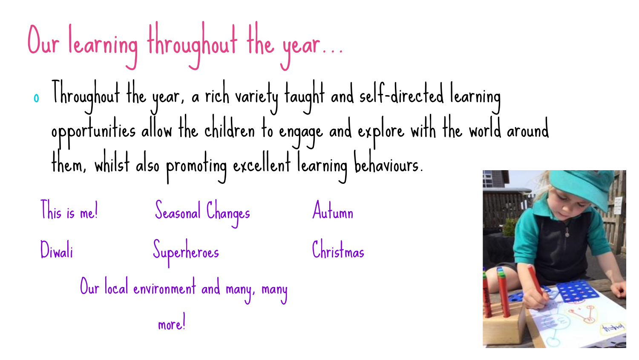## Our learning throughout the year...

o Throughout the year, a rich variety taught and self-directed learning opportunities allow the children to engage and explore with the world around them, whilst also promoting excellent learning behaviours.

This is me! Seasonal Changes Autumn Diwali Superheroes Christmas

```
 Our local environment and many, many
```
more!

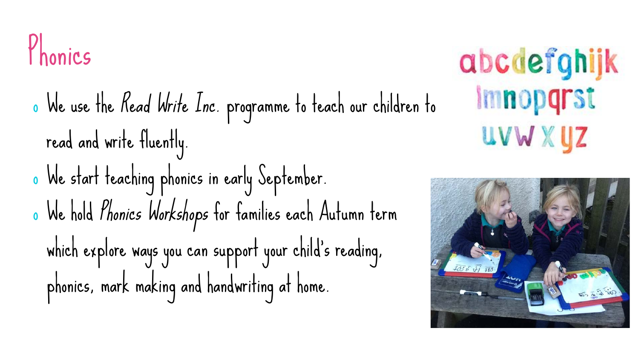#### Phonics

o We use the Read Write Inc. programme to teach our children to read and write fluently. o We start teaching phonics in early September. <sup>o</sup> We hold Phonics Workshops for families each Autumn term which explore ways you can support your child's reading, phonics, mark making and handwriting at home.

abcdefghijk Imnopqrst uvw x yz

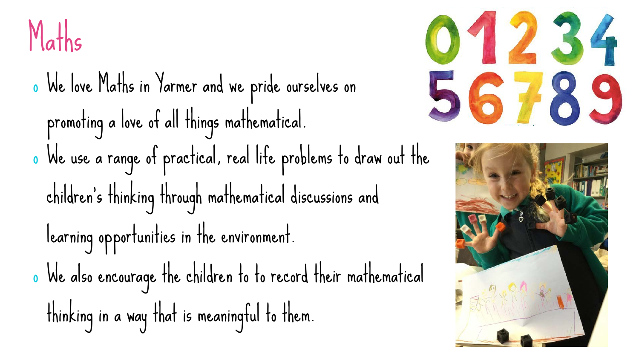

o We love Maths in Yarmer and we pride ourselves on promoting a love of all things mathematical. o We use a range of practical, real life problems to draw out the children's thinking through mathematical discussions and learning opportunities in the environment. o We also encourage the children to to record their mathematical thinking in a way that is meaningful to them.



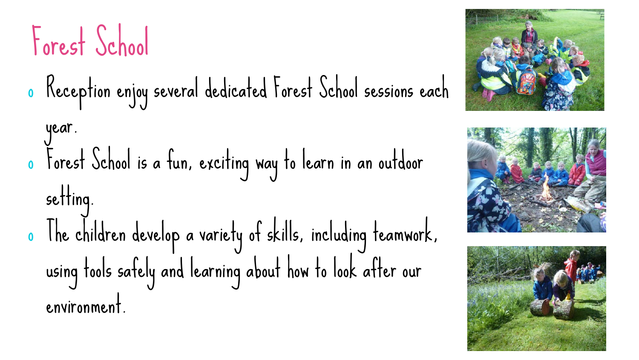Forest School

- o Reception enjoy several dedicated Forest School sessions each
- year. o Forest School is a fun, exciting way to learn in an outdoor setting. o The children develop a variety of skills, including teamwork, using tools safely and learning about how to look after our environment.





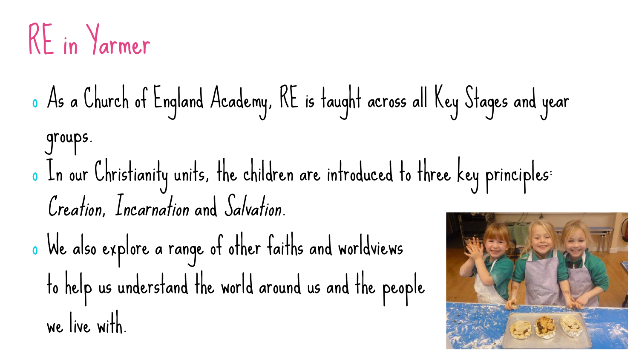## RE in Yarmer

- o As a Church of England Academy, RE is taught across all Key Stages and year groups. o In our Christianity units, the children are introduced to three key principles: Creation, Incarnation and Salvation.
- o We also explore a range of other faiths and worldviews to help us understand the world around us and the people we live with.

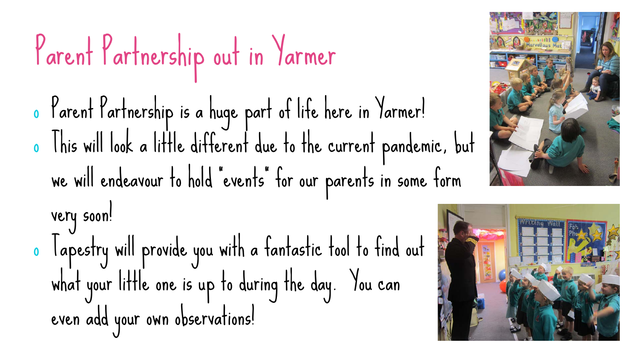## Parent Partnership out in Yarmer

o Parent Partnership is a huge part of life here in Yarmer! o This will look a little different due to the current pandemic, but we will endeavour to hold "events" for our parents in some form

very soon! o Tapestry will provide you with a fantastic tool to find out what your little one is up to during the day. You can even add your own observations!